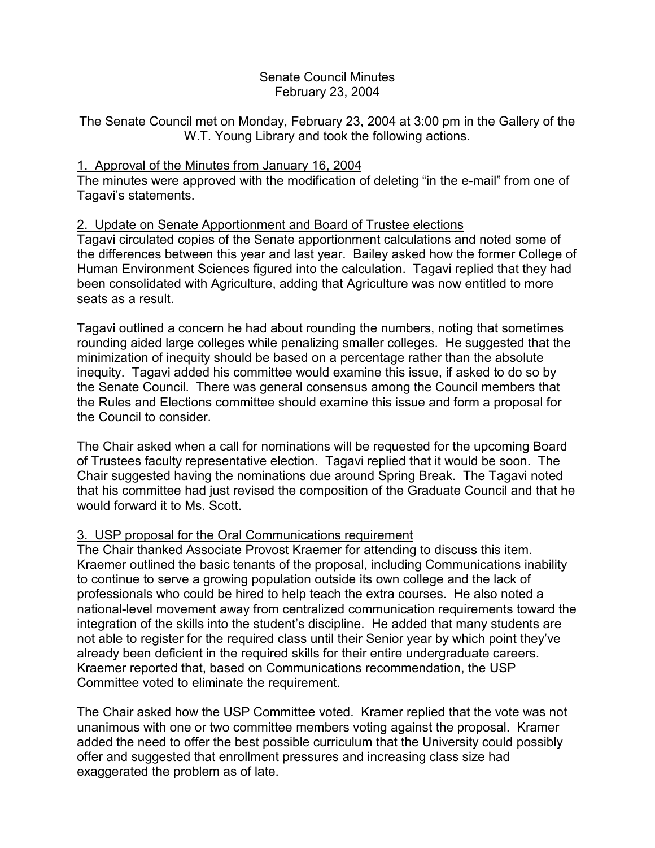# Senate Council Minutes February 23, 2004

The Senate Council met on Monday, February 23, 2004 at 3:00 pm in the Gallery of the W.T. Young Library and took the following actions.

## 1. Approval of the Minutes from January 16, 2004

The minutes were approved with the modification of deleting "in the e-mail" from one of Tagavi's statements.

## 2. Update on Senate Apportionment and Board of Trustee elections

Tagavi circulated copies of the Senate apportionment calculations and noted some of the differences between this year and last year. Bailey asked how the former College of Human Environment Sciences figured into the calculation. Tagavi replied that they had been consolidated with Agriculture, adding that Agriculture was now entitled to more seats as a result.

Tagavi outlined a concern he had about rounding the numbers, noting that sometimes rounding aided large colleges while penalizing smaller colleges. He suggested that the minimization of inequity should be based on a percentage rather than the absolute inequity. Tagavi added his committee would examine this issue, if asked to do so by the Senate Council. There was general consensus among the Council members that the Rules and Elections committee should examine this issue and form a proposal for the Council to consider.

The Chair asked when a call for nominations will be requested for the upcoming Board of Trustees faculty representative election. Tagavi replied that it would be soon. The Chair suggested having the nominations due around Spring Break. The Tagavi noted that his committee had just revised the composition of the Graduate Council and that he would forward it to Ms. Scott.

## 3. USP proposal for the Oral Communications requirement

The Chair thanked Associate Provost Kraemer for attending to discuss this item. Kraemer outlined the basic tenants of the proposal, including Communications inability to continue to serve a growing population outside its own college and the lack of professionals who could be hired to help teach the extra courses. He also noted a national-level movement away from centralized communication requirements toward the integration of the skills into the student's discipline. He added that many students are not able to register for the required class until their Senior year by which point they've already been deficient in the required skills for their entire undergraduate careers. Kraemer reported that, based on Communications recommendation, the USP Committee voted to eliminate the requirement.

The Chair asked how the USP Committee voted. Kramer replied that the vote was not unanimous with one or two committee members voting against the proposal. Kramer added the need to offer the best possible curriculum that the University could possibly offer and suggested that enrollment pressures and increasing class size had exaggerated the problem as of late.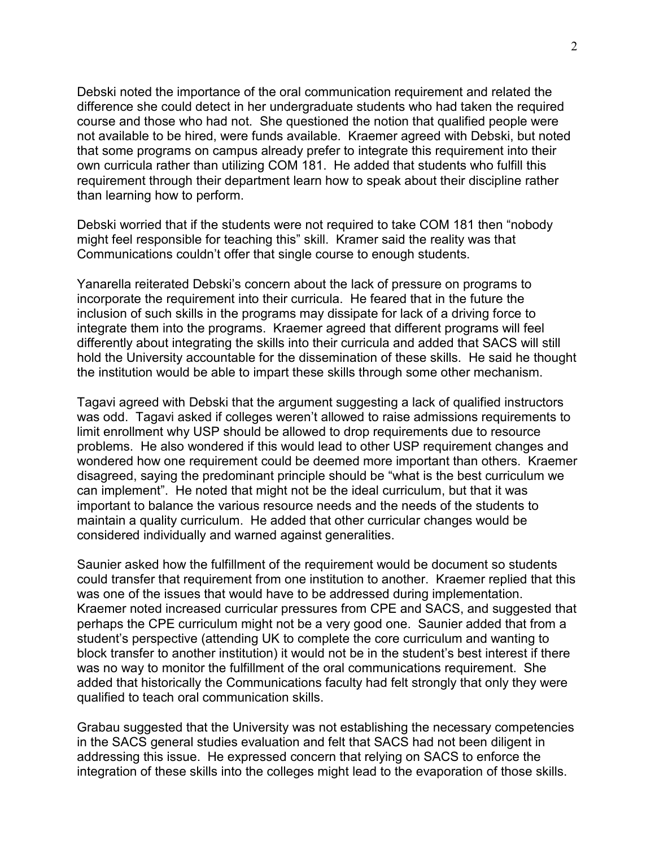Debski noted the importance of the oral communication requirement and related the difference she could detect in her undergraduate students who had taken the required course and those who had not. She questioned the notion that qualified people were not available to be hired, were funds available. Kraemer agreed with Debski, but noted that some programs on campus already prefer to integrate this requirement into their own curricula rather than utilizing COM 181. He added that students who fulfill this requirement through their department learn how to speak about their discipline rather than learning how to perform.

Debski worried that if the students were not required to take COM 181 then "nobody might feel responsible for teaching this" skill. Kramer said the reality was that Communications couldn't offer that single course to enough students.

Yanarella reiterated Debski's concern about the lack of pressure on programs to incorporate the requirement into their curricula. He feared that in the future the inclusion of such skills in the programs may dissipate for lack of a driving force to integrate them into the programs. Kraemer agreed that different programs will feel differently about integrating the skills into their curricula and added that SACS will still hold the University accountable for the dissemination of these skills. He said he thought the institution would be able to impart these skills through some other mechanism.

Tagavi agreed with Debski that the argument suggesting a lack of qualified instructors was odd. Tagavi asked if colleges weren't allowed to raise admissions requirements to limit enrollment why USP should be allowed to drop requirements due to resource problems. He also wondered if this would lead to other USP requirement changes and wondered how one requirement could be deemed more important than others. Kraemer disagreed, saying the predominant principle should be "what is the best curriculum we can implement". He noted that might not be the ideal curriculum, but that it was important to balance the various resource needs and the needs of the students to maintain a quality curriculum. He added that other curricular changes would be considered individually and warned against generalities.

Saunier asked how the fulfillment of the requirement would be document so students could transfer that requirement from one institution to another. Kraemer replied that this was one of the issues that would have to be addressed during implementation. Kraemer noted increased curricular pressures from CPE and SACS, and suggested that perhaps the CPE curriculum might not be a very good one. Saunier added that from a student's perspective (attending UK to complete the core curriculum and wanting to block transfer to another institution) it would not be in the student's best interest if there was no way to monitor the fulfillment of the oral communications requirement. She added that historically the Communications faculty had felt strongly that only they were qualified to teach oral communication skills.

Grabau suggested that the University was not establishing the necessary competencies in the SACS general studies evaluation and felt that SACS had not been diligent in addressing this issue. He expressed concern that relying on SACS to enforce the integration of these skills into the colleges might lead to the evaporation of those skills.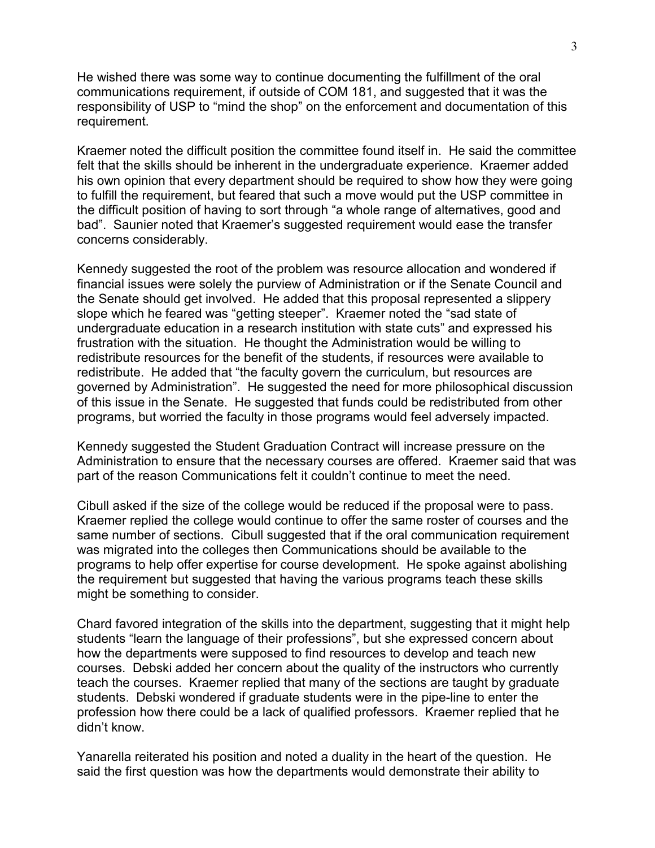He wished there was some way to continue documenting the fulfillment of the oral communications requirement, if outside of COM 181, and suggested that it was the responsibility of USP to "mind the shop" on the enforcement and documentation of this requirement.

Kraemer noted the difficult position the committee found itself in. He said the committee felt that the skills should be inherent in the undergraduate experience. Kraemer added his own opinion that every department should be required to show how they were going to fulfill the requirement, but feared that such a move would put the USP committee in the difficult position of having to sort through "a whole range of alternatives, good and bad". Saunier noted that Kraemer's suggested requirement would ease the transfer concerns considerably.

Kennedy suggested the root of the problem was resource allocation and wondered if financial issues were solely the purview of Administration or if the Senate Council and the Senate should get involved. He added that this proposal represented a slippery slope which he feared was "getting steeper". Kraemer noted the "sad state of undergraduate education in a research institution with state cuts" and expressed his frustration with the situation. He thought the Administration would be willing to redistribute resources for the benefit of the students, if resources were available to redistribute. He added that "the faculty govern the curriculum, but resources are governed by Administration". He suggested the need for more philosophical discussion of this issue in the Senate. He suggested that funds could be redistributed from other programs, but worried the faculty in those programs would feel adversely impacted.

Kennedy suggested the Student Graduation Contract will increase pressure on the Administration to ensure that the necessary courses are offered. Kraemer said that was part of the reason Communications felt it couldn't continue to meet the need.

Cibull asked if the size of the college would be reduced if the proposal were to pass. Kraemer replied the college would continue to offer the same roster of courses and the same number of sections. Cibull suggested that if the oral communication requirement was migrated into the colleges then Communications should be available to the programs to help offer expertise for course development. He spoke against abolishing the requirement but suggested that having the various programs teach these skills might be something to consider.

Chard favored integration of the skills into the department, suggesting that it might help students "learn the language of their professions", but she expressed concern about how the departments were supposed to find resources to develop and teach new courses. Debski added her concern about the quality of the instructors who currently teach the courses. Kraemer replied that many of the sections are taught by graduate students. Debski wondered if graduate students were in the pipe-line to enter the profession how there could be a lack of qualified professors. Kraemer replied that he didn't know.

Yanarella reiterated his position and noted a duality in the heart of the question. He said the first question was how the departments would demonstrate their ability to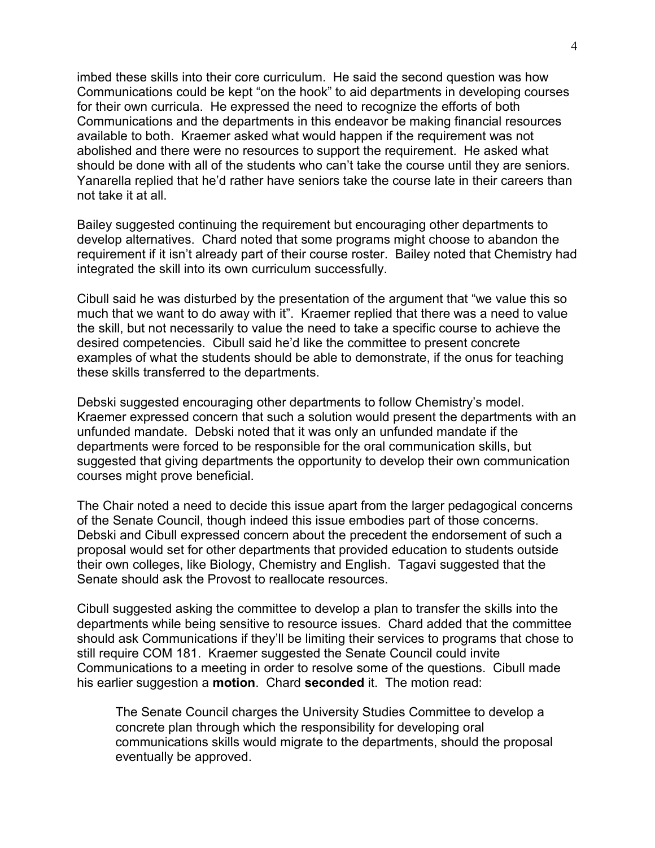imbed these skills into their core curriculum. He said the second question was how Communications could be kept "on the hook" to aid departments in developing courses for their own curricula. He expressed the need to recognize the efforts of both Communications and the departments in this endeavor be making financial resources available to both. Kraemer asked what would happen if the requirement was not abolished and there were no resources to support the requirement. He asked what should be done with all of the students who can't take the course until they are seniors. Yanarella replied that he'd rather have seniors take the course late in their careers than not take it at all.

Bailey suggested continuing the requirement but encouraging other departments to develop alternatives. Chard noted that some programs might choose to abandon the requirement if it isn't already part of their course roster. Bailey noted that Chemistry had integrated the skill into its own curriculum successfully.

Cibull said he was disturbed by the presentation of the argument that "we value this so much that we want to do away with it". Kraemer replied that there was a need to value the skill, but not necessarily to value the need to take a specific course to achieve the desired competencies. Cibull said he'd like the committee to present concrete examples of what the students should be able to demonstrate, if the onus for teaching these skills transferred to the departments.

Debski suggested encouraging other departments to follow Chemistry's model. Kraemer expressed concern that such a solution would present the departments with an unfunded mandate. Debski noted that it was only an unfunded mandate if the departments were forced to be responsible for the oral communication skills, but suggested that giving departments the opportunity to develop their own communication courses might prove beneficial.

The Chair noted a need to decide this issue apart from the larger pedagogical concerns of the Senate Council, though indeed this issue embodies part of those concerns. Debski and Cibull expressed concern about the precedent the endorsement of such a proposal would set for other departments that provided education to students outside their own colleges, like Biology, Chemistry and English. Tagavi suggested that the Senate should ask the Provost to reallocate resources.

Cibull suggested asking the committee to develop a plan to transfer the skills into the departments while being sensitive to resource issues. Chard added that the committee should ask Communications if they'll be limiting their services to programs that chose to still require COM 181. Kraemer suggested the Senate Council could invite Communications to a meeting in order to resolve some of the questions. Cibull made his earlier suggestion a **motion**. Chard **seconded** it. The motion read:

The Senate Council charges the University Studies Committee to develop a concrete plan through which the responsibility for developing oral communications skills would migrate to the departments, should the proposal eventually be approved.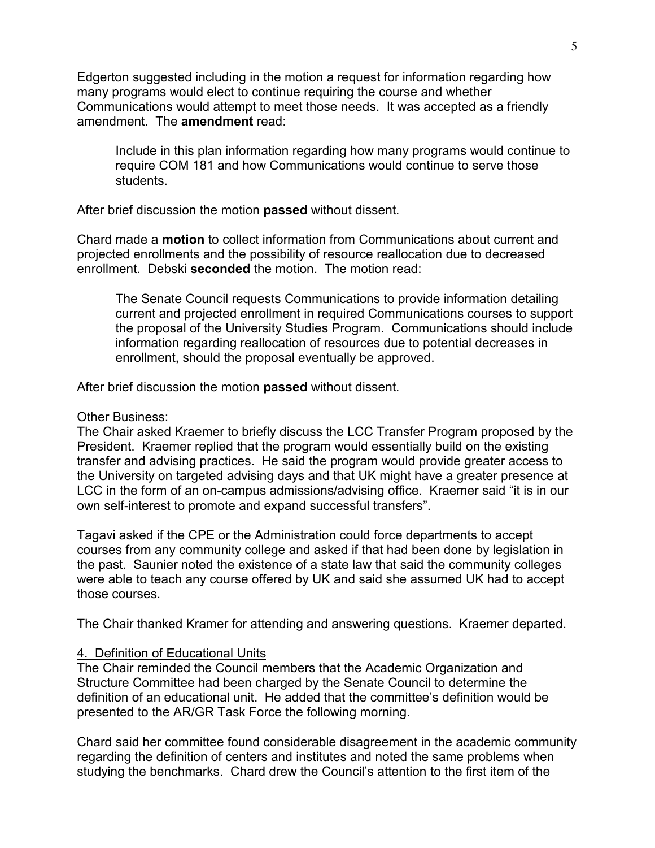Edgerton suggested including in the motion a request for information regarding how many programs would elect to continue requiring the course and whether Communications would attempt to meet those needs. It was accepted as a friendly amendment. The **amendment** read:

Include in this plan information regarding how many programs would continue to require COM 181 and how Communications would continue to serve those students.

After brief discussion the motion **passed** without dissent.

Chard made a **motion** to collect information from Communications about current and projected enrollments and the possibility of resource reallocation due to decreased enrollment. Debski **seconded** the motion. The motion read:

The Senate Council requests Communications to provide information detailing current and projected enrollment in required Communications courses to support the proposal of the University Studies Program. Communications should include information regarding reallocation of resources due to potential decreases in enrollment, should the proposal eventually be approved.

After brief discussion the motion **passed** without dissent.

#### Other Business:

The Chair asked Kraemer to briefly discuss the LCC Transfer Program proposed by the President. Kraemer replied that the program would essentially build on the existing transfer and advising practices. He said the program would provide greater access to the University on targeted advising days and that UK might have a greater presence at LCC in the form of an on-campus admissions/advising office. Kraemer said "it is in our own self-interest to promote and expand successful transfers".

Tagavi asked if the CPE or the Administration could force departments to accept courses from any community college and asked if that had been done by legislation in the past. Saunier noted the existence of a state law that said the community colleges were able to teach any course offered by UK and said she assumed UK had to accept those courses.

The Chair thanked Kramer for attending and answering questions. Kraemer departed.

## 4. Definition of Educational Units

The Chair reminded the Council members that the Academic Organization and Structure Committee had been charged by the Senate Council to determine the definition of an educational unit. He added that the committee's definition would be presented to the AR/GR Task Force the following morning.

Chard said her committee found considerable disagreement in the academic community regarding the definition of centers and institutes and noted the same problems when studying the benchmarks. Chard drew the Council's attention to the first item of the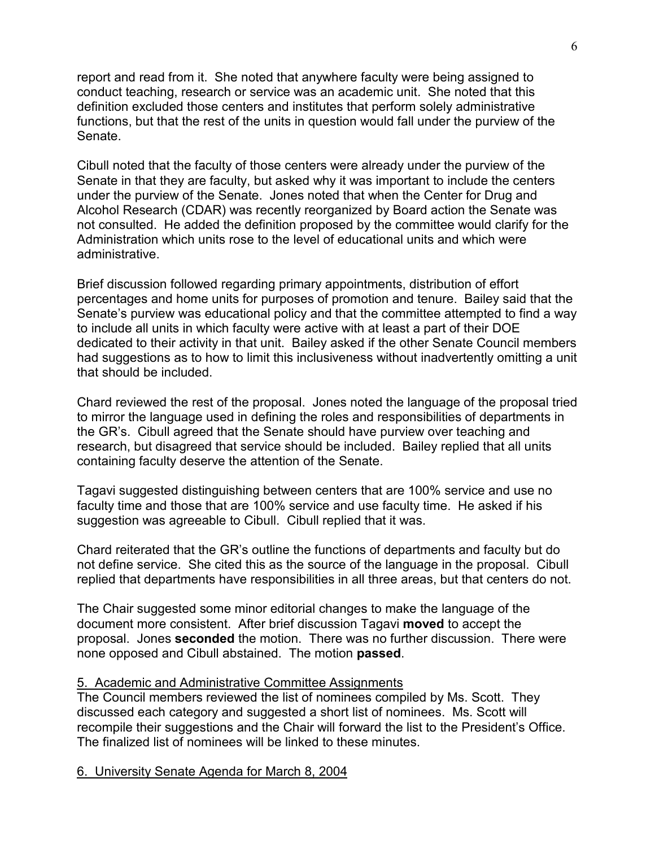report and read from it. She noted that anywhere faculty were being assigned to conduct teaching, research or service was an academic unit. She noted that this definition excluded those centers and institutes that perform solely administrative functions, but that the rest of the units in question would fall under the purview of the Senate.

Cibull noted that the faculty of those centers were already under the purview of the Senate in that they are faculty, but asked why it was important to include the centers under the purview of the Senate. Jones noted that when the Center for Drug and Alcohol Research (CDAR) was recently reorganized by Board action the Senate was not consulted. He added the definition proposed by the committee would clarify for the Administration which units rose to the level of educational units and which were administrative.

Brief discussion followed regarding primary appointments, distribution of effort percentages and home units for purposes of promotion and tenure. Bailey said that the Senate's purview was educational policy and that the committee attempted to find a way to include all units in which faculty were active with at least a part of their DOE dedicated to their activity in that unit. Bailey asked if the other Senate Council members had suggestions as to how to limit this inclusiveness without inadvertently omitting a unit that should be included.

Chard reviewed the rest of the proposal. Jones noted the language of the proposal tried to mirror the language used in defining the roles and responsibilities of departments in the GR's. Cibull agreed that the Senate should have purview over teaching and research, but disagreed that service should be included. Bailey replied that all units containing faculty deserve the attention of the Senate.

Tagavi suggested distinguishing between centers that are 100% service and use no faculty time and those that are 100% service and use faculty time. He asked if his suggestion was agreeable to Cibull. Cibull replied that it was.

Chard reiterated that the GR's outline the functions of departments and faculty but do not define service. She cited this as the source of the language in the proposal. Cibull replied that departments have responsibilities in all three areas, but that centers do not.

The Chair suggested some minor editorial changes to make the language of the document more consistent. After brief discussion Tagavi **moved** to accept the proposal. Jones **seconded** the motion. There was no further discussion. There were none opposed and Cibull abstained. The motion **passed**.

# 5. Academic and Administrative Committee Assignments

The Council members reviewed the list of nominees compiled by Ms. Scott. They discussed each category and suggested a short list of nominees. Ms. Scott will recompile their suggestions and the Chair will forward the list to the President's Office. The finalized list of nominees will be linked to these minutes.

#### 6. University Senate Agenda for March 8, 2004